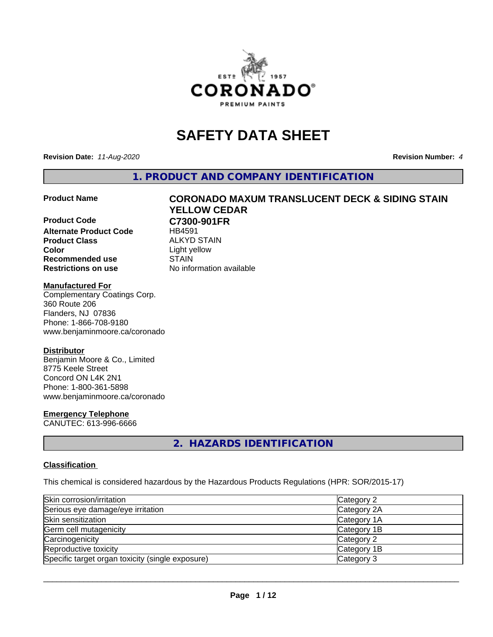

# **SAFETY DATA SHEET**

**Revision Date:** *11-Aug-2020* **Revision Number:** *4*

**1. PRODUCT AND COMPANY IDENTIFICATION**

**Product Code C7300-901FR Alternate Product Code** HB4591 **Product Class** ALKYD STAIN<br> **Color** Light vellow **Recommended use STAIN Restrictions on use** No information available

# **Product Name CORONADO MAXUM TRANSLUCENT DECK & SIDING STAIN YELLOW CEDAR**

**Color** Light yellow

#### **Manufactured For**

Complementary Coatings Corp. 360 Route 206 Flanders, NJ 07836 Phone: 1-866-708-9180 www.benjaminmoore.ca/coronado

## **Distributor**

Benjamin Moore & Co., Limited 8775 Keele Street Concord ON L4K 2N1 Phone: 1-800-361-5898 www.benjaminmoore.ca/coronado

## **Emergency Telephone**

CANUTEC: 613-996-6666

## **2. HAZARDS IDENTIFICATION**

## **Classification**

This chemical is considered hazardous by the Hazardous Products Regulations (HPR: SOR/2015-17)

| Skin corrosion/irritation                        | Category 2  |
|--------------------------------------------------|-------------|
| Serious eye damage/eye irritation                | Category 2A |
| Skin sensitization                               | Category 1A |
| Germ cell mutagenicity                           | Category 1B |
| Carcinogenicity                                  | Category 2  |
| Reproductive toxicity                            | Category 1B |
| Specific target organ toxicity (single exposure) | Category 3  |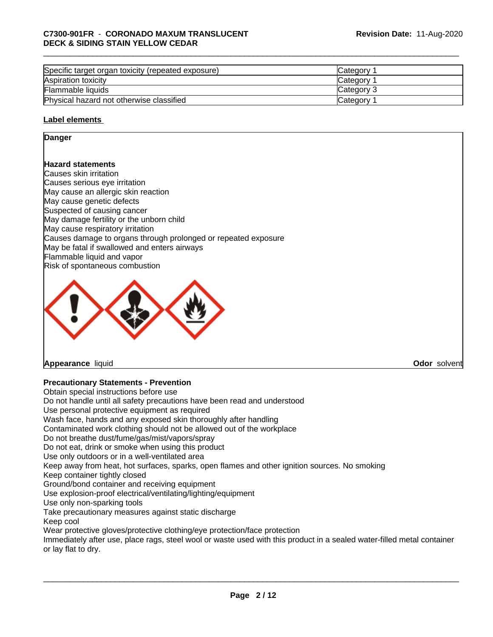| Specific target organ toxicity (repeated exposure) | Category        |  |
|----------------------------------------------------|-----------------|--|
| Aspiration toxicity                                | Category        |  |
| Flammable liquids                                  | Category 3      |  |
| Physical hazard not otherwise classified           | <b>Category</b> |  |

## **Label elements**

## **Danger**

## **Hazard statements**

Causes skin irritation Causes serious eye irritation May cause an allergic skin reaction May cause genetic defects Suspected of causing cancer May damage fertility or the unborn child May cause respiratory irritation Causes damage to organs through prolonged or repeated exposure May be fatal if swallowed and enters airways Flammable liquid and vapor Risk of spontaneous combustion



## **Appearance** liquid **Odor** solvent

## **Precautionary Statements - Prevention**

Obtain special instructions before use Do not handle until all safety precautions have been read and understood Use personal protective equipment as required Wash face, hands and any exposed skin thoroughly after handling Contaminated work clothing should not be allowed out of the workplace Do not breathe dust/fume/gas/mist/vapors/spray Do not eat, drink or smoke when using this product Use only outdoors or in a well-ventilated area Keep away from heat, hot surfaces, sparks, open flames and other ignition sources. No smoking Keep container tightly closed Ground/bond container and receiving equipment Use explosion-proof electrical/ventilating/lighting/equipment Use only non-sparking tools Take precautionary measures against static discharge Keep cool Wear protective gloves/protective clothing/eye protection/face protection Immediately after use, place rags, steel wool or waste used with this product in a sealed water-filled metal container or lay flat to dry.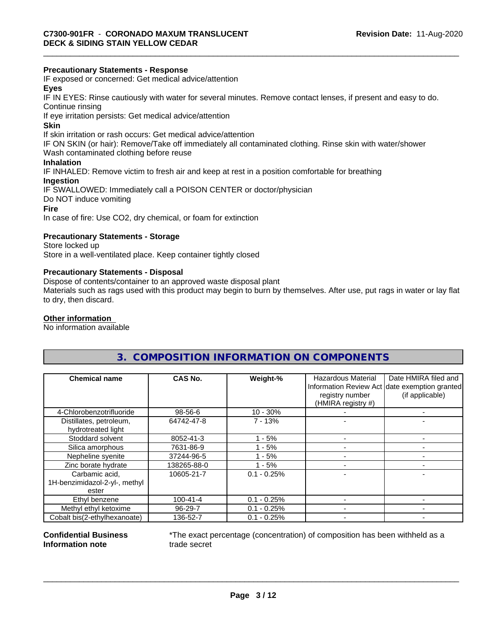## **Precautionary Statements - Response**

IF exposed or concerned: Get medical advice/attention

## **Eyes**

IF IN EYES: Rinse cautiously with water forseveral minutes. Remove contact lenses, if present and easy to do. Continue rinsing

If eye irritation persists: Get medical advice/attention

#### **Skin**

If skin irritation or rash occurs: Get medical advice/attention

IF ON SKIN (or hair): Remove/Take off immediately all contaminated clothing. Rinse skin with water/shower

Wash contaminated clothing before reuse

## **Inhalation**

IF INHALED: Remove victim to fresh air and keep at rest in a position comfortable for breathing

## **Ingestion**

IF SWALLOWED: Immediately call a POISON CENTER or doctor/physician Do NOT induce vomiting **Fire**

In case of fire: Use CO2, dry chemical, or foam for extinction

## **Precautionary Statements - Storage**

Store locked up Store in a well-ventilated place. Keep container tightly closed

## **Precautionary Statements - Disposal**

Dispose of contents/container to an approved waste disposal plant

Materials such as rags used with this product may begin to burn by themselves. After use, put rags in water or lay flat to dry, then discard.

## **Other information**

No information available

## **3. COMPOSITION INFORMATION ON COMPONENTS**

| <b>Chemical name</b>                          | CAS No.        | Weight-%      | <b>Hazardous Material</b><br>registry number<br>(HMIRA registry #) | Date HMIRA filed and<br>Information Review Act date exemption granted<br>(if applicable) |
|-----------------------------------------------|----------------|---------------|--------------------------------------------------------------------|------------------------------------------------------------------------------------------|
| 4-Chlorobenzotrifluoride                      | 98-56-6        | $10 - 30%$    |                                                                    |                                                                                          |
| Distillates, petroleum,<br>hydrotreated light | 64742-47-8     | $7 - 13%$     |                                                                    |                                                                                          |
| Stoddard solvent                              | 8052-41-3      | - 5%          |                                                                    |                                                                                          |
| Silica amorphous                              | 7631-86-9      | $1 - 5%$      |                                                                    |                                                                                          |
| Nepheline syenite                             | 37244-96-5     | - 5%          |                                                                    |                                                                                          |
| Zinc borate hydrate                           | 138265-88-0    | - 5%          |                                                                    |                                                                                          |
| Carbamic acid,                                | 10605-21-7     | $0.1 - 0.25%$ |                                                                    |                                                                                          |
| 1H-benzimidazol-2-yl-, methyl<br>ester        |                |               |                                                                    |                                                                                          |
| Ethyl benzene                                 | $100 - 41 - 4$ | $0.1 - 0.25%$ |                                                                    |                                                                                          |
| Methyl ethyl ketoxime                         | 96-29-7        | $0.1 - 0.25%$ |                                                                    |                                                                                          |
| Cobalt bis(2-ethylhexanoate)                  | 136-52-7       | $0.1 - 0.25%$ |                                                                    |                                                                                          |

#### **Confidential Business Information note**

\*The exact percentage (concentration) of composition has been withheld as a trade secret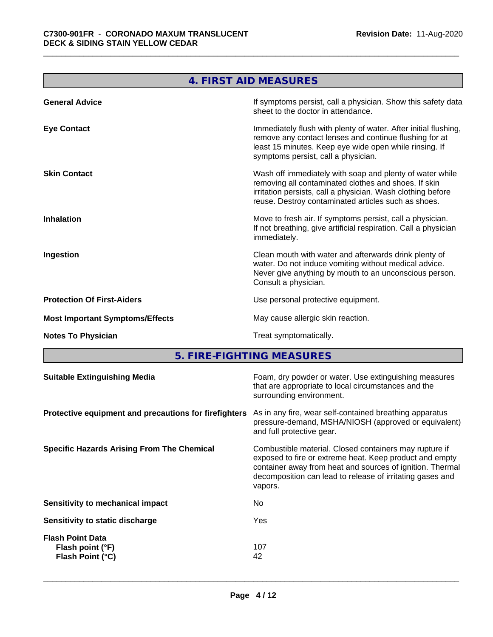<u> Tanzania di Bandaria di Bandaria di Bandaria di Bandaria di Bandaria di Bandaria di Bandaria di Bandaria di Bandaria di Bandaria di Bandaria di Bandaria di Bandaria di Bandaria di Bandaria di Bandaria di Bandaria di Band</u>

٦

| If symptoms persist, call a physician. Show this safety data<br>sheet to the doctor in attendance.                                                                                                                                     |
|----------------------------------------------------------------------------------------------------------------------------------------------------------------------------------------------------------------------------------------|
| Immediately flush with plenty of water. After initial flushing,<br>remove any contact lenses and continue flushing for at<br>least 15 minutes. Keep eye wide open while rinsing. If<br>symptoms persist, call a physician.             |
| Wash off immediately with soap and plenty of water while<br>removing all contaminated clothes and shoes. If skin<br>irritation persists, call a physician. Wash clothing before<br>reuse. Destroy contaminated articles such as shoes. |
| Move to fresh air. If symptoms persist, call a physician.<br>If not breathing, give artificial respiration. Call a physician                                                                                                           |
| Clean mouth with water and afterwards drink plenty of<br>water. Do not induce vomiting without medical advice.<br>Never give anything by mouth to an unconscious person.                                                               |
| Use personal protective equipment.                                                                                                                                                                                                     |
| May cause allergic skin reaction.                                                                                                                                                                                                      |
|                                                                                                                                                                                                                                        |
|                                                                                                                                                                                                                                        |

a sa kacamatan ing Kabupatèn Kabupatèn Kabupatèn Kabupatèn Kabupatèn Kabupatèn Kabupatèn Kabupatèn Kabupatèn K

**5. FIRE-FIGHTING MEASURES**

| surrounding environment.<br>As in any fire, wear self-contained breathing apparatus<br>pressure-demand, MSHA/NIOSH (approved or equivalent)<br>and full protective gear.<br>Combustible material. Closed containers may rupture if<br>exposed to fire or extreme heat. Keep product and empty<br>container away from heat and sources of ignition. Thermal<br>decomposition can lead to release of irritating gases and<br>vapors.<br>No.<br>Yes<br>107<br>Flash point (°F)<br>Flash Point (°C)<br>42 | <b>Suitable Extinguishing Media</b>                   | Foam, dry powder or water. Use extinguishing measures<br>that are appropriate to local circumstances and the |
|-------------------------------------------------------------------------------------------------------------------------------------------------------------------------------------------------------------------------------------------------------------------------------------------------------------------------------------------------------------------------------------------------------------------------------------------------------------------------------------------------------|-------------------------------------------------------|--------------------------------------------------------------------------------------------------------------|
|                                                                                                                                                                                                                                                                                                                                                                                                                                                                                                       |                                                       |                                                                                                              |
|                                                                                                                                                                                                                                                                                                                                                                                                                                                                                                       | Protective equipment and precautions for firefighters |                                                                                                              |
|                                                                                                                                                                                                                                                                                                                                                                                                                                                                                                       | <b>Specific Hazards Arising From The Chemical</b>     |                                                                                                              |
|                                                                                                                                                                                                                                                                                                                                                                                                                                                                                                       | Sensitivity to mechanical impact                      |                                                                                                              |
|                                                                                                                                                                                                                                                                                                                                                                                                                                                                                                       | Sensitivity to static discharge                       |                                                                                                              |
|                                                                                                                                                                                                                                                                                                                                                                                                                                                                                                       | <b>Flash Point Data</b>                               |                                                                                                              |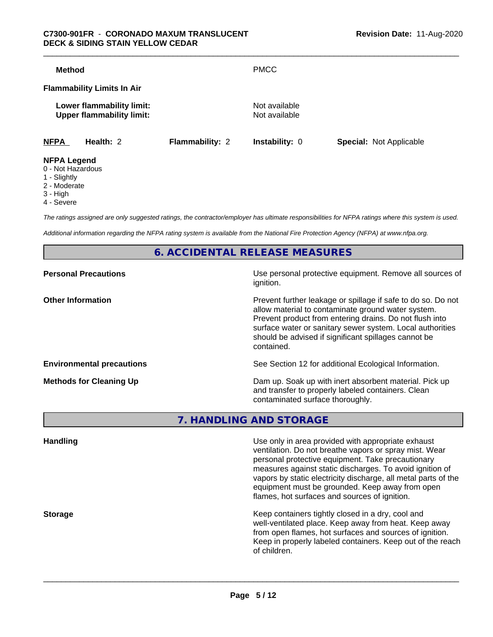| <b>Method</b>      |                                                               |                        | <b>PMCC</b>                    |                                |
|--------------------|---------------------------------------------------------------|------------------------|--------------------------------|--------------------------------|
|                    | <b>Flammability Limits In Air</b>                             |                        |                                |                                |
|                    | Lower flammability limit:<br><b>Upper flammability limit:</b> |                        | Not available<br>Not available |                                |
| <b>NFPA</b>        | Health: 2                                                     | <b>Flammability: 2</b> | <b>Instability: 0</b>          | <b>Special: Not Applicable</b> |
| <b>NFPA Legend</b> |                                                               |                        |                                |                                |

- 0 Not Hazardous
- 1 Slightly
- 2 Moderate
- 3 High
- 4 Severe

*The ratings assigned are only suggested ratings, the contractor/employer has ultimate responsibilities for NFPA ratings where this system is used.*

*Additional information regarding the NFPA rating system is available from the National Fire Protection Agency (NFPA) at www.nfpa.org.*

**6. ACCIDENTAL RELEASE MEASURES**

| <b>Personal Precautions</b>      | Use personal protective equipment. Remove all sources of<br>ignition.                                                                                                                                                                                                                                            |
|----------------------------------|------------------------------------------------------------------------------------------------------------------------------------------------------------------------------------------------------------------------------------------------------------------------------------------------------------------|
| <b>Other Information</b>         | Prevent further leakage or spillage if safe to do so. Do not<br>allow material to contaminate ground water system.<br>Prevent product from entering drains. Do not flush into<br>surface water or sanitary sewer system. Local authorities<br>should be advised if significant spillages cannot be<br>contained. |
| <b>Environmental precautions</b> | See Section 12 for additional Ecological Information.                                                                                                                                                                                                                                                            |
| <b>Methods for Cleaning Up</b>   | Dam up. Soak up with inert absorbent material. Pick up<br>and transfer to properly labeled containers. Clean<br>contaminated surface thoroughly.                                                                                                                                                                 |

**7. HANDLING AND STORAGE**

| Use only in area provided with appropriate exhaust<br><b>Handling</b><br>ventilation. Do not breathe vapors or spray mist. Wear                                                                                                                                                     |  |
|-------------------------------------------------------------------------------------------------------------------------------------------------------------------------------------------------------------------------------------------------------------------------------------|--|
| personal protective equipment. Take precautionary<br>measures against static discharges. To avoid ignition of<br>vapors by static electricity discharge, all metal parts of the<br>equipment must be grounded. Keep away from open<br>flames, hot surfaces and sources of ignition. |  |
| Keep containers tightly closed in a dry, cool and<br><b>Storage</b><br>well-ventilated place. Keep away from heat. Keep away<br>from open flames, hot surfaces and sources of ignition.<br>Keep in properly labeled containers. Keep out of the reach<br>of children.               |  |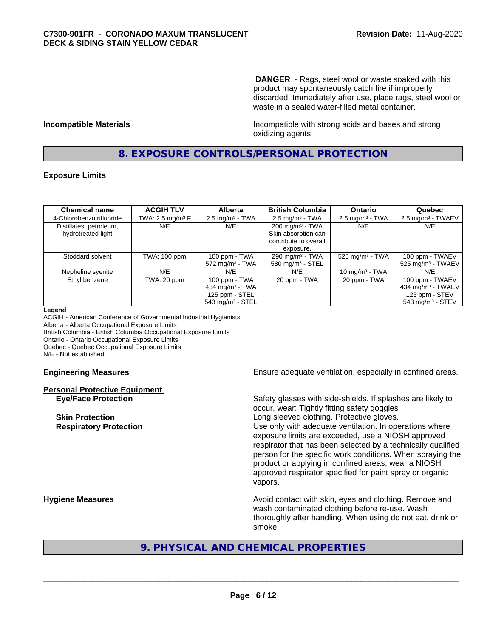**DANGER** - Rags, steel wool or waste soaked with this product may spontaneously catch fire if improperly discarded. Immediately after use, place rags, steel wool or waste in a sealed water-filled metal container.

**Incompatible Materials Incompatible with strong acids and bases and strong** oxidizing agents.

## **8. EXPOSURE CONTROLS/PERSONAL PROTECTION**

## **Exposure Limits**

| <b>Chemical name</b>     | <b>ACGIH TLV</b>    | <b>Alberta</b>                 | <b>British Columbia</b>      | <b>Ontario</b>                | Quebec                          |
|--------------------------|---------------------|--------------------------------|------------------------------|-------------------------------|---------------------------------|
| 4-Chlorobenzotrifluoride | TWA: 2.5 mg/m $3$ F | $2.5$ mg/m <sup>3</sup> - TWA  | $2.5 \text{ mg/m}^3$ - TWA   | $2.5 \text{ mg/m}^3$ - TWA    | $2.5 \text{ mg/m}^3$ - TWAEV    |
| Distillates, petroleum,  | N/E                 | N/E                            | $200 \text{ mg/m}^3$ - TWA   | N/E                           | N/E                             |
| hydrotreated light       |                     |                                | Skin absorption can          |                               |                                 |
|                          |                     |                                | contribute to overall        |                               |                                 |
|                          |                     |                                | exposure.                    |                               |                                 |
| Stoddard solvent         | TWA: 100 ppm        | 100 ppm - TWA                  | 290 mg/m $3$ - TWA           | $525$ mg/m <sup>3</sup> - TWA | 100 ppm - TWAEV                 |
|                          |                     | $572$ mg/m <sup>3</sup> - TWA  | 580 mg/m <sup>3</sup> - STEL |                               | $525$ mg/m <sup>3</sup> - TWAEV |
| Nepheline syenite        | N/E                 | N/E                            | N/E                          | 10 mg/m $3$ - TWA             | N/E                             |
| Ethyl benzene            | TWA: 20 ppm         | 100 ppm - TWA                  | 20 ppm - TWA                 | 20 ppm - TWA                  | 100 ppm - TWAEV                 |
|                          |                     | 434 mg/m $3$ - TWA             |                              |                               | 434 mg/m <sup>3</sup> - TWAEV   |
|                          |                     | 125 ppm - STEL                 |                              |                               | 125 ppm - STEV                  |
|                          |                     | $543$ mg/m <sup>3</sup> - STEL |                              |                               | $543$ mg/m <sup>3</sup> - STEV  |

#### **Legend**

ACGIH - American Conference of Governmental Industrial Hygienists Alberta - Alberta Occupational Exposure Limits British Columbia - British Columbia Occupational Exposure Limits Ontario - Ontario Occupational Exposure Limits Quebec - Quebec Occupational Exposure Limits N/E - Not established

# **Personal Protective Equipment**

**Engineering Measures Ensure** Ensure adequate ventilation, especially in confined areas.

**Eye/Face Protection** Safety glasses with side-shields. If splashes are likely to occur, wear: Tightly fitting safety goggles **Skin Protection Skin Protection Skin Protective gloves.** Long sleeved clothing. Protective gloves. **Respiratory Protection Number 1** (Use only with adequate ventilation. In operations where exposure limits are exceeded, use a NIOSH approved respirator that has been selected by a technically qualified person for the specific work conditions. When spraying the product or applying in confined areas, wear a NIOSH approved respirator specified for paint spray or organic vapors.

**Hygiene Measures Avoid contact with skin, eyes and clothing. Remove and Avoid contact with skin, eyes and clothing. Remove and** wash contaminated clothing before re-use. Wash thoroughly after handling. When using do not eat, drink or smoke.

## **9. PHYSICAL AND CHEMICAL PROPERTIES**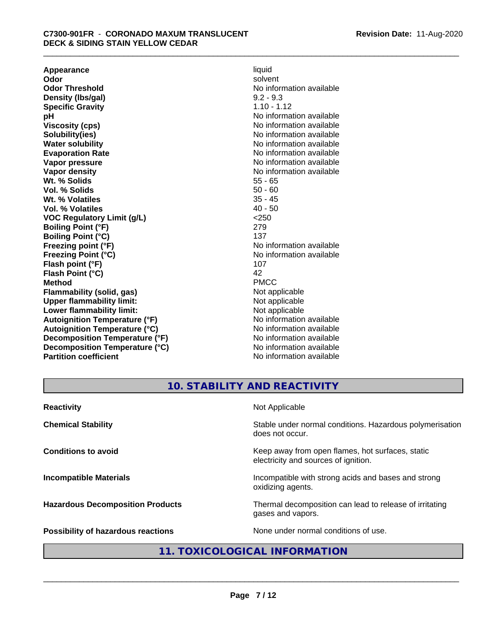**Appearance** liquid and **a liquid development of the set of the set of the set of the set of the set of the set of the set of the set of the set of the set of the set of the set of the set of the set of the set of the set Odor** solvent **Odor Threshold** No information available **Density (Ibs/gal)** 9.2 - 9.3<br> **Specific Gravity** 1.10 - 1.12 **Specific Gravity**<br>pH **Viscosity (cps)** No information available **Solubility(ies)** No information available **Water solubility** No information available **Evaporation Rate No information available No information available Vapor pressure** No information available **Vapor density No information available No** information available **Wt. % Solids** 55 - 65<br> **Vol. % Solids** 50 - 60 **Vol. % Solids** 50 - 60 **Wt. % Volatiles Vol. % Volatiles** 40 - 50 **VOC Regulatory Limit (g/L)** <250 **Boiling Point (°F)** 279 **Boiling Point (°C)** 137<br> **Preezing point (°F)** No interval 137 **Freezing Point (°C)** and **COV** No information available **Flash point (°F)** 107 **Flash Point (°C)** 42 **Method** PMCC **Flammability (solid, gas)**<br> **Commability limit:**<br>
Upper flammability limit:<br>
Not applicable **Upper flammability limit:**<br> **Lower flammability limit:**<br>
Not applicable<br>
Not applicable **Lower flammability limit:**<br> **Autoianition Temperature (°F)** Not applicable Not applicable not a Not applicable **Autoignition Temperature (°F) Autoignition Temperature (°C)** No information available **Decomposition Temperature (°F)** No information available **Decomposition Temperature (°C)** No information available **Partition coefficient** No information available

**No information available No information available** 

## **10. STABILITY AND REACTIVITY**

| <b>Reactivity</b>                         | Not Applicable                                                                           |
|-------------------------------------------|------------------------------------------------------------------------------------------|
| <b>Chemical Stability</b>                 | Stable under normal conditions. Hazardous polymerisation<br>does not occur.              |
| <b>Conditions to avoid</b>                | Keep away from open flames, hot surfaces, static<br>electricity and sources of ignition. |
| <b>Incompatible Materials</b>             | Incompatible with strong acids and bases and strong<br>oxidizing agents.                 |
| <b>Hazardous Decomposition Products</b>   | Thermal decomposition can lead to release of irritating<br>gases and vapors.             |
| <b>Possibility of hazardous reactions</b> | None under normal conditions of use.                                                     |

## **11. TOXICOLOGICAL INFORMATION**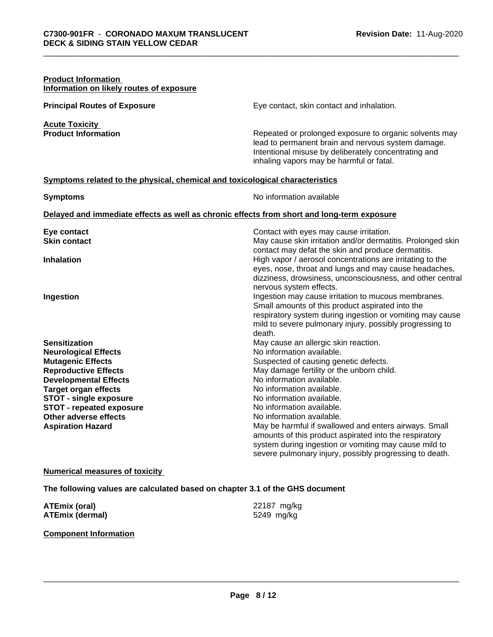| <b>Product Information</b><br>Information on likely routes of exposure                                                                                                                                                                                                                                 |                                                                                                                                                                                                                                                                                                                                                                                                                                                                                                                                                 |
|--------------------------------------------------------------------------------------------------------------------------------------------------------------------------------------------------------------------------------------------------------------------------------------------------------|-------------------------------------------------------------------------------------------------------------------------------------------------------------------------------------------------------------------------------------------------------------------------------------------------------------------------------------------------------------------------------------------------------------------------------------------------------------------------------------------------------------------------------------------------|
| <b>Principal Routes of Exposure</b>                                                                                                                                                                                                                                                                    | Eye contact, skin contact and inhalation.                                                                                                                                                                                                                                                                                                                                                                                                                                                                                                       |
| <b>Acute Toxicity</b><br><b>Product Information</b>                                                                                                                                                                                                                                                    | Repeated or prolonged exposure to organic solvents may<br>lead to permanent brain and nervous system damage.<br>Intentional misuse by deliberately concentrating and<br>inhaling vapors may be harmful or fatal.                                                                                                                                                                                                                                                                                                                                |
| Symptoms related to the physical, chemical and toxicological characteristics                                                                                                                                                                                                                           |                                                                                                                                                                                                                                                                                                                                                                                                                                                                                                                                                 |
| <b>Symptoms</b>                                                                                                                                                                                                                                                                                        | No information available                                                                                                                                                                                                                                                                                                                                                                                                                                                                                                                        |
|                                                                                                                                                                                                                                                                                                        | Delayed and immediate effects as well as chronic effects from short and long-term exposure                                                                                                                                                                                                                                                                                                                                                                                                                                                      |
| Eye contact<br><b>Skin contact</b>                                                                                                                                                                                                                                                                     | Contact with eyes may cause irritation.<br>May cause skin irritation and/or dermatitis. Prolonged skin                                                                                                                                                                                                                                                                                                                                                                                                                                          |
| <b>Inhalation</b>                                                                                                                                                                                                                                                                                      | contact may defat the skin and produce dermatitis.<br>High vapor / aerosol concentrations are irritating to the<br>eyes, nose, throat and lungs and may cause headaches,<br>dizziness, drowsiness, unconsciousness, and other central<br>nervous system effects.                                                                                                                                                                                                                                                                                |
| Ingestion                                                                                                                                                                                                                                                                                              | Ingestion may cause irritation to mucous membranes.<br>Small amounts of this product aspirated into the<br>respiratory system during ingestion or vomiting may cause<br>mild to severe pulmonary injury, possibly progressing to<br>death.                                                                                                                                                                                                                                                                                                      |
| <b>Sensitization</b><br><b>Neurological Effects</b><br><b>Mutagenic Effects</b><br><b>Reproductive Effects</b><br><b>Developmental Effects</b><br><b>Target organ effects</b><br><b>STOT - single exposure</b><br><b>STOT - repeated exposure</b><br>Other adverse effects<br><b>Aspiration Hazard</b> | May cause an allergic skin reaction.<br>No information available.<br>Suspected of causing genetic defects.<br>May damage fertility or the unborn child.<br>No information available.<br>No information available.<br>No information available.<br>No information available.<br>No information available.<br>May be harmful if swallowed and enters airways. Small<br>amounts of this product aspirated into the respiratory<br>system during ingestion or vomiting may cause mild to<br>severe pulmonary injury, possibly progressing to death. |

## **Numerical measures of toxicity**

**The following values are calculated based on chapter 3.1 of the GHS document**

| <b>ATEmix (oral)</b>   | 22187 mg/kg |
|------------------------|-------------|
| <b>ATEmix (dermal)</b> | 5249 mg/kg  |

## **Component Information**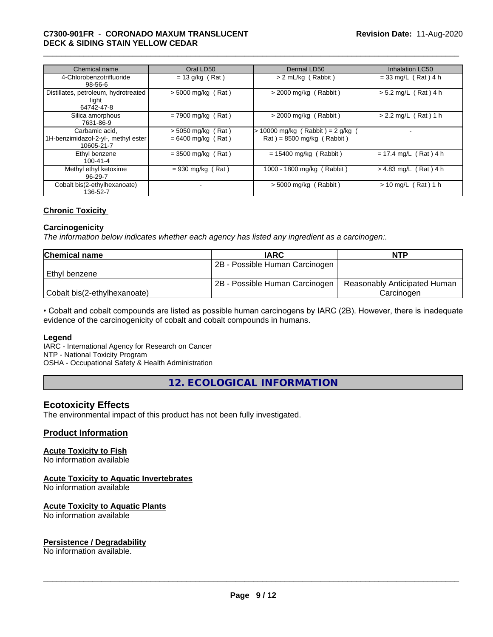## \_\_\_\_\_\_\_\_\_\_\_\_\_\_\_\_\_\_\_\_\_\_\_\_\_\_\_\_\_\_\_\_\_\_\_\_\_\_\_\_\_\_\_\_\_\_\_\_\_\_\_\_\_\_\_\_\_\_\_\_\_\_\_\_\_\_\_\_\_\_\_\_\_\_\_\_\_\_\_\_\_\_\_\_\_\_\_\_\_\_\_\_\_ **C7300-901FR** - **CORONADO MAXUM TRANSLUCENT DECK & SIDING STAIN YELLOW CEDAR**

| Chemical name                                                       | Oral LD50                                    | Dermal LD50                                                      | <b>Inhalation LC50</b>  |
|---------------------------------------------------------------------|----------------------------------------------|------------------------------------------------------------------|-------------------------|
| 4-Chlorobenzotrifluoride<br>$98 - 56 - 6$                           | $= 13$ g/kg (Rat)                            | > 2 mL/kg (Rabbit)                                               | $= 33$ mg/L (Rat) 4 h   |
| Distillates, petroleum, hydrotreated<br>light<br>64742-47-8         | $>$ 5000 mg/kg (Rat)                         | $>$ 2000 mg/kg (Rabbit)                                          | $> 5.2$ mg/L (Rat) 4 h  |
| Silica amorphous<br>7631-86-9                                       | $= 7900$ mg/kg (Rat)                         | $>$ 2000 mg/kg (Rabbit)                                          | $> 2.2$ mg/L (Rat) 1 h  |
| Carbamic acid.<br>1H-benzimidazol-2-yl-, methyl ester<br>10605-21-7 | $>$ 5050 mg/kg (Rat)<br>$= 6400$ mg/kg (Rat) | $> 10000$ mg/kg (Rabbit) = 2 g/kg<br>$Rat$ = 8500 mg/kg (Rabbit) |                         |
| Ethyl benzene<br>$100 - 41 - 4$                                     | $= 3500$ mg/kg (Rat)                         | $= 15400$ mg/kg (Rabbit)                                         | $= 17.4$ mg/L (Rat) 4 h |
| Methyl ethyl ketoxime<br>96-29-7                                    | $= 930$ mg/kg (Rat)                          | 1000 - 1800 mg/kg (Rabbit)                                       | $> 4.83$ mg/L (Rat) 4 h |
| Cobalt bis(2-ethylhexanoate)<br>136-52-7                            | ٠                                            | $>$ 5000 mg/kg (Rabbit)                                          | $> 10$ mg/L (Rat) 1 h   |

## **Chronic Toxicity**

#### **Carcinogenicity**

*The information below indicateswhether each agency has listed any ingredient as a carcinogen:.*

| <b>Chemical name</b>         | <b>IARC</b>                    | <b>NTP</b>                   |
|------------------------------|--------------------------------|------------------------------|
|                              | 2B - Possible Human Carcinogen |                              |
| l Ethvl benzene              |                                |                              |
|                              | 2B - Possible Human Carcinogen | Reasonably Anticipated Human |
| Cobalt bis(2-ethylhexanoate) |                                | Carcinoɑen                   |

• Cobalt and cobalt compounds are listed as possible human carcinogens by IARC (2B). However, there is inadequate evidence of the carcinogenicity of cobalt and cobalt compounds in humans.

#### **Legend**

IARC - International Agency for Research on Cancer NTP - National Toxicity Program

OSHA - Occupational Safety & Health Administration

**12. ECOLOGICAL INFORMATION**

## **Ecotoxicity Effects**

The environmental impact of this product has not been fully investigated.

## **Product Information**

## **Acute Toxicity to Fish**

No information available

## **Acute Toxicity to Aquatic Invertebrates**

No information available

## **Acute Toxicity to Aquatic Plants**

No information available

## **Persistence / Degradability**

No information available.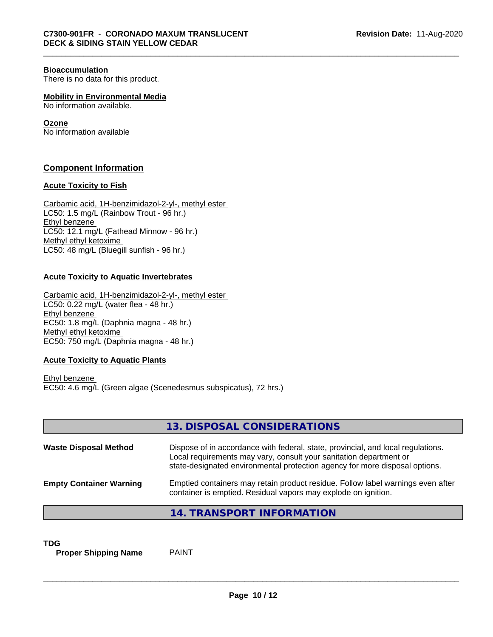#### **Bioaccumulation**

There is no data for this product.

**Mobility in Environmental Media**

No information available.

## **Ozone**

No information available

## **Component Information**

## **Acute Toxicity to Fish**

Carbamic acid, 1H-benzimidazol-2-yl-, methyl ester LC50: 1.5 mg/L (Rainbow Trout - 96 hr.) Ethyl benzene LC50: 12.1 mg/L (Fathead Minnow - 96 hr.) Methyl ethyl ketoxime LC50: 48 mg/L (Bluegill sunfish - 96 hr.)

## **Acute Toxicity to Aquatic Invertebrates**

Carbamic acid, 1H-benzimidazol-2-yl-, methyl ester LC50: 0.22 mg/L (water flea - 48 hr.) Ethyl benzene EC50: 1.8 mg/L (Daphnia magna - 48 hr.) Methyl ethyl ketoxime EC50: 750 mg/L (Daphnia magna - 48 hr.)

## **Acute Toxicity to Aquatic Plants**

Ethyl benzene EC50: 4.6 mg/L (Green algae (Scenedesmus subspicatus), 72 hrs.)

|                                | 13. DISPOSAL CONSIDERATIONS                                                                                                                                                                                                           |
|--------------------------------|---------------------------------------------------------------------------------------------------------------------------------------------------------------------------------------------------------------------------------------|
| <b>Waste Disposal Method</b>   | Dispose of in accordance with federal, state, provincial, and local regulations.<br>Local requirements may vary, consult your sanitation department or<br>state-designated environmental protection agency for more disposal options. |
| <b>Empty Container Warning</b> | Emptied containers may retain product residue. Follow label warnings even after<br>container is emptied. Residual vapors may explode on ignition.                                                                                     |
|                                | 14. TRANSPORT INFORMATION                                                                                                                                                                                                             |

**TDG**<br>**Proper Shipping Name** PAINT **Proper Shipping Name**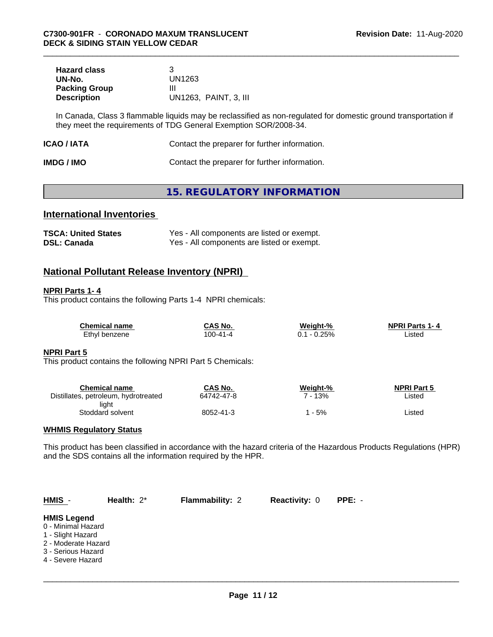| <b>Hazard class</b>  |                       |
|----------------------|-----------------------|
| UN-No.               | UN1263                |
| <b>Packing Group</b> | Ш                     |
| <b>Description</b>   | UN1263, PAINT, 3, III |

In Canada, Class 3 flammable liquids may be reclassified as non-regulated for domestic ground transportation if they meet the requirements of TDG General Exemption SOR/2008-34.

| ICAO / IATA<br>Contact the preparer for further information. |  |
|--------------------------------------------------------------|--|
|--------------------------------------------------------------|--|

| <b>IMDG / IMO</b> | Contact the preparer for further information. |
|-------------------|-----------------------------------------------|
|-------------------|-----------------------------------------------|

## **15. REGULATORY INFORMATION**

## **International Inventories**

| <b>TSCA: United States</b> | Yes - All components are listed or exempt. |
|----------------------------|--------------------------------------------|
| <b>DSL: Canada</b>         | Yes - All components are listed or exempt. |

## **National Pollutant Release Inventory (NPRI)**

## **NPRI Parts 1- 4**

This product contains the following Parts 1-4 NPRI chemicals:

| <b>Chemical name</b> | CAS No.        | Weight-% | <b>NPRI Parts 1-4</b> |
|----------------------|----------------|----------|-----------------------|
| Ethyl benzene        | $100 - 41 - 4$ | $-0.25%$ | ∟isted                |

## **NPRI Part 5**

This product contains the following NPRI Part 5 Chemicals:

| Chemical name                        | CAS No.    | Weight-% | <b>NPRI Part 5</b> |
|--------------------------------------|------------|----------|--------------------|
| Distillates, petroleum, hydrotreated | 64742-47-8 | 13%      | Listed             |
| light                                |            |          |                    |
| Stoddard solvent                     | 8052-41-3  | - 5%     | Listed             |

## **WHMIS Regulatory Status**

This product has been classified in accordance with the hazard criteria of the Hazardous Products Regulations (HPR) and the SDS contains all the information required by the HPR.

| $HMIS -$                                                                                                                        | Health: $2^*$ | <b>Flammability: 2</b> | <b>Reactivity: 0</b> | PPE: - |  |
|---------------------------------------------------------------------------------------------------------------------------------|---------------|------------------------|----------------------|--------|--|
| <b>HMIS Legend</b><br>0 - Minimal Hazard<br>1 - Slight Hazard<br>2 - Moderate Hazard<br>3 - Serious Hazard<br>4 - Severe Hazard |               |                        |                      |        |  |
|                                                                                                                                 |               |                        |                      |        |  |